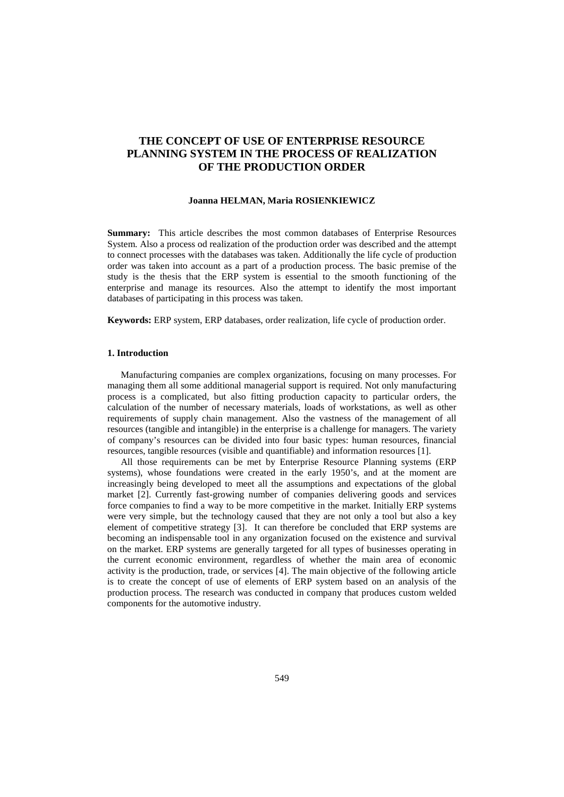# **THE CONCEPT OF USE OF ENTERPRISE RESOURCE PLANNING SYSTEM IN THE PROCESS OF REALIZATION OF THE PRODUCTION ORDER**

## **Joanna HELMAN, Maria ROSIENKIEWICZ**

**Summary:** This article describes the most common databases of Enterprise Resources System. Also a process od realization of the production order was described and the attempt to connect processes with the databases was taken. Additionally the life cycle of production order was taken into account as a part of a production process. The basic premise of the study is the thesis that the ERP system is essential to the smooth functioning of the enterprise and manage its resources. Also the attempt to identify the most important databases of participating in this process was taken.

**Keywords:** ERP system, ERP databases, order realization, life cycle of production order.

## **1. Introduction**

Manufacturing companies are complex organizations, focusing on many processes. For managing them all some additional managerial support is required. Not only manufacturing process is a complicated, but also fitting production capacity to particular orders, the calculation of the number of necessary materials, loads of workstations, as well as other requirements of supply chain management. Also the vastness of the management of all resources (tangible and intangible) in the enterprise is a challenge for managers. The variety of company's resources can be divided into four basic types: human resources, financial resources, tangible resources (visible and quantifiable) and information resources [1].

All those requirements can be met by Enterprise Resource Planning systems (ERP systems), whose foundations were created in the early 1950's, and at the moment are increasingly being developed to meet all the assumptions and expectations of the global market [2]. Currently fast-growing number of companies delivering goods and services force companies to find a way to be more competitive in the market. Initially ERP systems were very simple, but the technology caused that they are not only a tool but also a key element of competitive strategy [3]. It can therefore be concluded that ERP systems are becoming an indispensable tool in any organization focused on the existence and survival on the market. ERP systems are generally targeted for all types of businesses operating in the current economic environment, regardless of whether the main area of economic activity is the production, trade, or services [4]. The main objective of the following article is to create the concept of use of elements of ERP system based on an analysis of the production process. The research was conducted in company that produces custom welded components for the automotive industry.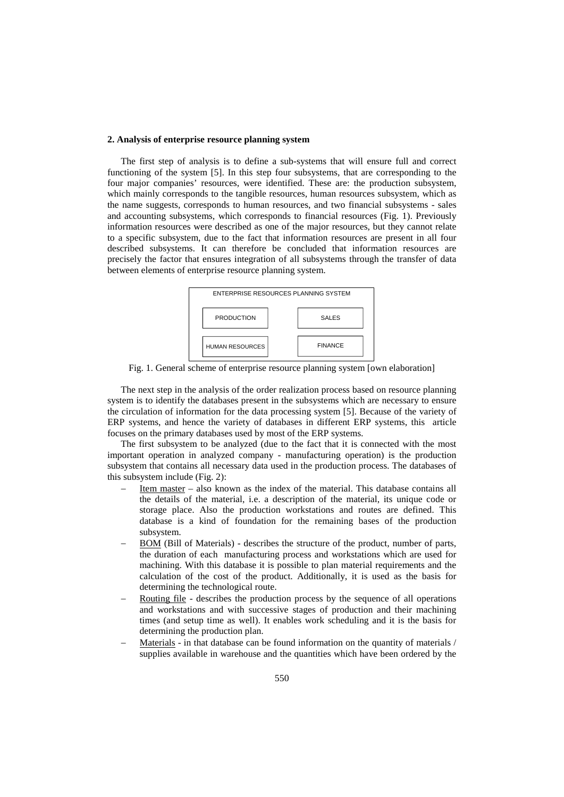# **2. Analysis of enterprise resource planning system**

The first step of analysis is to define a sub-systems that will ensure full and correct functioning of the system [5]. In this step four subsystems, that are corresponding to the four major companies' resources, were identified. These are: the production subsystem, which mainly corresponds to the tangible resources, human resources subsystem, which as the name suggests, corresponds to human resources, and two financial subsystems - sales and accounting subsystems, which corresponds to financial resources (Fig. 1). Previously information resources were described as one of the major resources, but they cannot relate to a specific subsystem, due to the fact that information resources are present in all four described subsystems. It can therefore be concluded that information resources are precisely the factor that ensures integration of all subsystems through the transfer of data between elements of enterprise resource planning system.



Fig. 1. General scheme of enterprise resource planning system [own elaboration]

The next step in the analysis of the order realization process based on resource planning system is to identify the databases present in the subsystems which are necessary to ensure the circulation of information for the data processing system [5]. Because of the variety of ERP systems, and hence the variety of databases in different ERP systems, this article focuses on the primary databases used by most of the ERP systems.

The first subsystem to be analyzed (due to the fact that it is connected with the most important operation in analyzed company - manufacturing operation) is the production subsystem that contains all necessary data used in the production process. The databases of this subsystem include (Fig. 2):

- − Item master also known as the index of the material. This database contains all the details of the material, i.e. a description of the material, its unique code or storage place. Also the production workstations and routes are defined. This database is a kind of foundation for the remaining bases of the production subsystem.
- BOM (Bill of Materials) describes the structure of the product, number of parts, the duration of each manufacturing process and workstations which are used for machining. With this database it is possible to plan material requirements and the calculation of the cost of the product. Additionally, it is used as the basis for determining the technological route.
- Routing file describes the production process by the sequence of all operations and workstations and with successive stages of production and their machining times (and setup time as well). It enables work scheduling and it is the basis for determining the production plan.
- Materials in that database can be found information on the quantity of materials / supplies available in warehouse and the quantities which have been ordered by the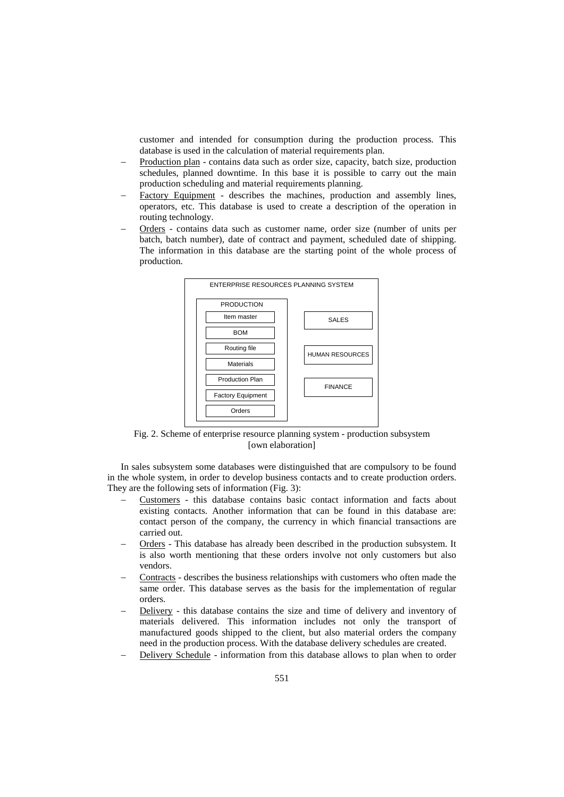customer and intended for consumption during the production process. This database is used in the calculation of material requirements plan.

- − Production plan contains data such as order size, capacity, batch size, production schedules, planned downtime. In this base it is possible to carry out the main production scheduling and material requirements planning.
- Factory Equipment describes the machines, production and assembly lines, operators, etc. This database is used to create a description of the operation in routing technology.
- − Orders contains data such as customer name, order size (number of units per batch, batch number), date of contract and payment, scheduled date of shipping. The information in this database are the starting point of the whole process of production.



Fig. 2. Scheme of enterprise resource planning system - production subsystem [own elaboration]

In sales subsystem some databases were distinguished that are compulsory to be found in the whole system, in order to develop business contacts and to create production orders. They are the following sets of information (Fig. 3):

- − Customers this database contains basic contact information and facts about existing contacts. Another information that can be found in this database are: contact person of the company, the currency in which financial transactions are carried out.
- − Orders This database has already been described in the production subsystem. It is also worth mentioning that these orders involve not only customers but also vendors.
- − Contracts describes the business relationships with customers who often made the same order. This database serves as the basis for the implementation of regular orders.
- Delivery this database contains the size and time of delivery and inventory of materials delivered. This information includes not only the transport of manufactured goods shipped to the client, but also material orders the company need in the production process. With the database delivery schedules are created.
- Delivery Schedule information from this database allows to plan when to order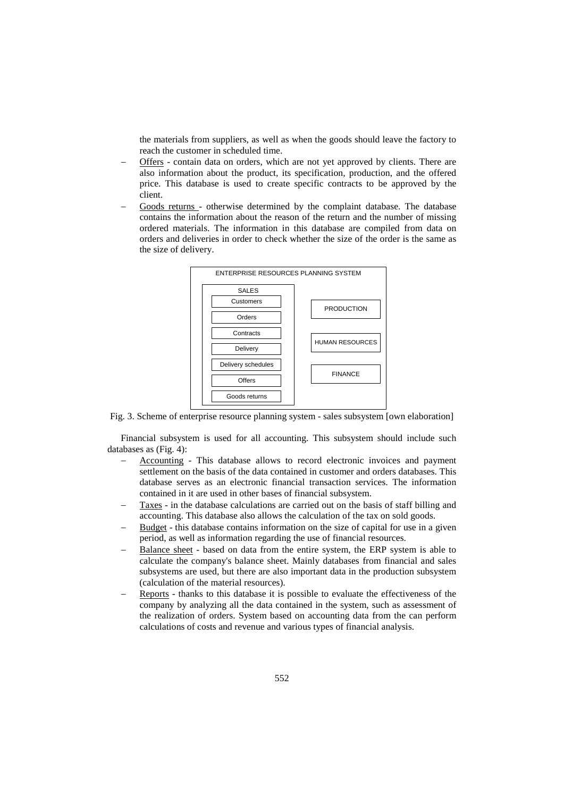the materials from suppliers, as well as when the goods should leave the factory to reach the customer in scheduled time.

- − Offers contain data on orders, which are not yet approved by clients. There are also information about the product, its specification, production, and the offered price. This database is used to create specific contracts to be approved by the client.
- Goods returns otherwise determined by the complaint database. The database contains the information about the reason of the return and the number of missing ordered materials. The information in this database are compiled from data on orders and deliveries in order to check whether the size of the order is the same as the size of delivery.



Fig. 3. Scheme of enterprise resource planning system - sales subsystem [own elaboration]

Financial subsystem is used for all accounting. This subsystem should include such databases as (Fig. 4):

- − Accounting This database allows to record electronic invoices and payment settlement on the basis of the data contained in customer and orders databases. This database serves as an electronic financial transaction services. The information contained in it are used in other bases of financial subsystem.
- Taxes in the database calculations are carried out on the basis of staff billing and accounting. This database also allows the calculation of the tax on sold goods.
- Budget this database contains information on the size of capital for use in a given period, as well as information regarding the use of financial resources.
- Balance sheet based on data from the entire system, the ERP system is able to calculate the company's balance sheet. Mainly databases from financial and sales subsystems are used, but there are also important data in the production subsystem (calculation of the material resources).
- Reports thanks to this database it is possible to evaluate the effectiveness of the company by analyzing all the data contained in the system, such as assessment of the realization of orders. System based on accounting data from the can perform calculations of costs and revenue and various types of financial analysis.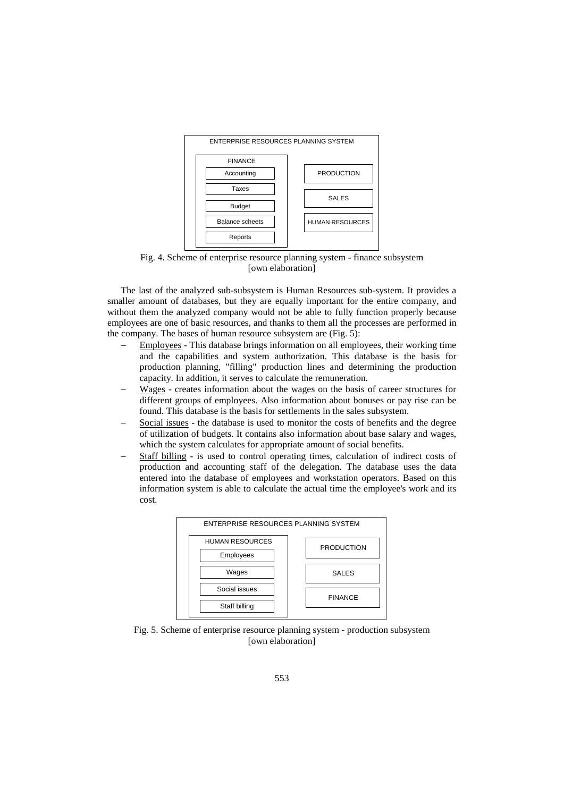

Fig. 4. Scheme of enterprise resource planning system - finance subsystem [own elaboration]

The last of the analyzed sub-subsystem is Human Resources sub-system. It provides a smaller amount of databases, but they are equally important for the entire company, and without them the analyzed company would not be able to fully function properly because employees are one of basic resources, and thanks to them all the processes are performed in the company. The bases of human resource subsystem are (Fig. 5):

- Employees This database brings information on all employees, their working time and the capabilities and system authorization. This database is the basis for production planning, "filling" production lines and determining the production capacity. In addition, it serves to calculate the remuneration.
- Wages creates information about the wages on the basis of career structures for different groups of employees. Also information about bonuses or pay rise can be found. This database is the basis for settlements in the sales subsystem.
- Social issues the database is used to monitor the costs of benefits and the degree of utilization of budgets. It contains also information about base salary and wages, which the system calculates for appropriate amount of social benefits.
- Staff billing is used to control operating times, calculation of indirect costs of production and accounting staff of the delegation. The database uses the data entered into the database of employees and workstation operators. Based on this information system is able to calculate the actual time the employee's work and its cost.



Fig. 5. Scheme of enterprise resource planning system - production subsystem [own elaboration]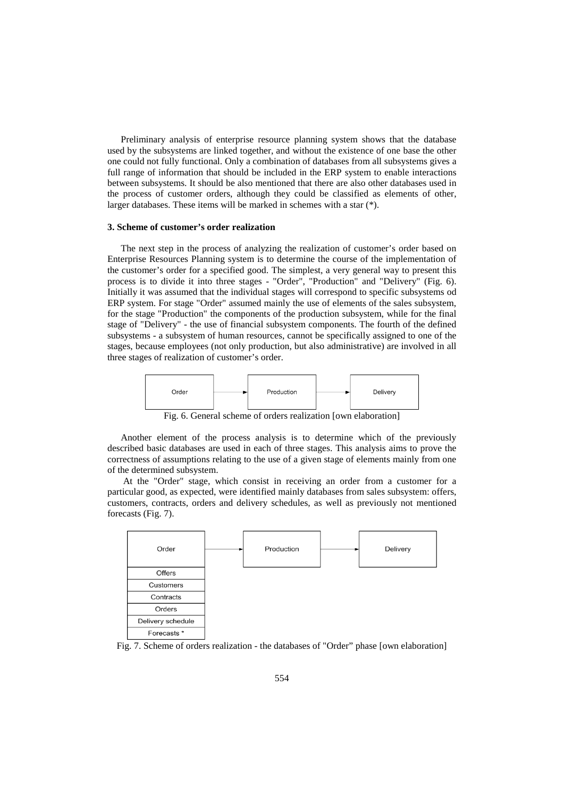Preliminary analysis of enterprise resource planning system shows that the database used by the subsystems are linked together, and without the existence of one base the other one could not fully functional. Only a combination of databases from all subsystems gives a full range of information that should be included in the ERP system to enable interactions between subsystems. It should be also mentioned that there are also other databases used in the process of customer orders, although they could be classified as elements of other, larger databases. These items will be marked in schemes with a star (\*).

# **3. Scheme of customer's order realization**

The next step in the process of analyzing the realization of customer's order based on Enterprise Resources Planning system is to determine the course of the implementation of the customer's order for a specified good. The simplest, a very general way to present this process is to divide it into three stages - "Order", "Production" and "Delivery" (Fig. 6). Initially it was assumed that the individual stages will correspond to specific subsystems od ERP system. For stage "Order" assumed mainly the use of elements of the sales subsystem, for the stage "Production" the components of the production subsystem, while for the final stage of "Delivery" - the use of financial subsystem components. The fourth of the defined subsystems - a subsystem of human resources, cannot be specifically assigned to one of the stages, because employees (not only production, but also administrative) are involved in all three stages of realization of customer's order.



Fig. 6. General scheme of orders realization [own elaboration]

Another element of the process analysis is to determine which of the previously described basic databases are used in each of three stages. This analysis aims to prove the correctness of assumptions relating to the use of a given stage of elements mainly from one of the determined subsystem.

At the "Order" stage, which consist in receiving an order from a customer for a particular good, as expected, were identified mainly databases from sales subsystem: offers, customers, contracts, orders and delivery schedules, as well as previously not mentioned forecasts (Fig. 7).



Fig. 7. Scheme of orders realization - the databases of "Order" phase [own elaboration]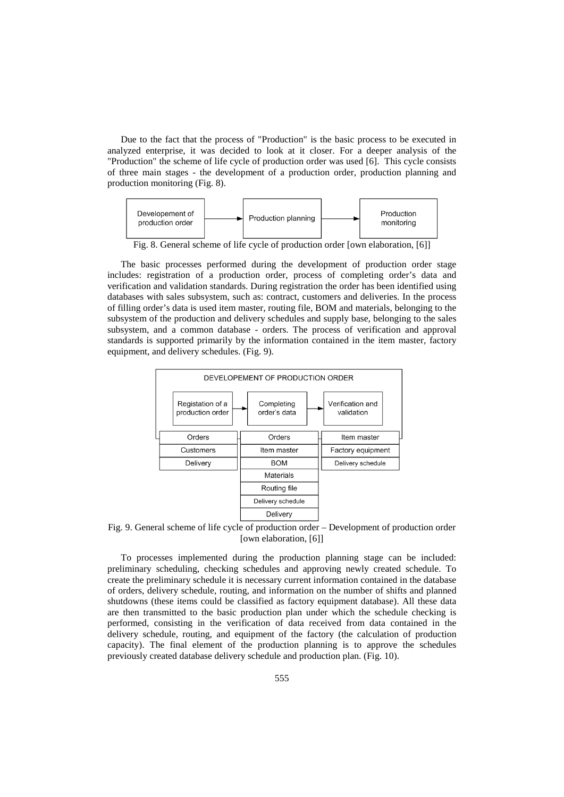Due to the fact that the process of "Production" is the basic process to be executed in analyzed enterprise, it was decided to look at it closer. For a deeper analysis of the "Production" the scheme of life cycle of production order was used [6]. This cycle consists of three main stages - the development of a production order, production planning and production monitoring (Fig. 8).



Fig. 8. General scheme of life cycle of production order [own elaboration, [6]]

The basic processes performed during the development of production order stage includes: registration of a production order, process of completing order's data and verification and validation standards. During registration the order has been identified using databases with sales subsystem, such as: contract, customers and deliveries. In the process of filling order's data is used item master, routing file, BOM and materials, belonging to the subsystem of the production and delivery schedules and supply base, belonging to the sales subsystem, and a common database - orders. The process of verification and approval standards is supported primarily by the information contained in the item master, factory equipment, and delivery schedules. (Fig. 9).



Fig. 9. General scheme of life cycle of production order – Development of production order [own elaboration, [6]]

To processes implemented during the production planning stage can be included: preliminary scheduling, checking schedules and approving newly created schedule. To create the preliminary schedule it is necessary current information contained in the database of orders, delivery schedule, routing, and information on the number of shifts and planned shutdowns (these items could be classified as factory equipment database). All these data are then transmitted to the basic production plan under which the schedule checking is performed, consisting in the verification of data received from data contained in the delivery schedule, routing, and equipment of the factory (the calculation of production capacity). The final element of the production planning is to approve the schedules previously created database delivery schedule and production plan. (Fig. 10).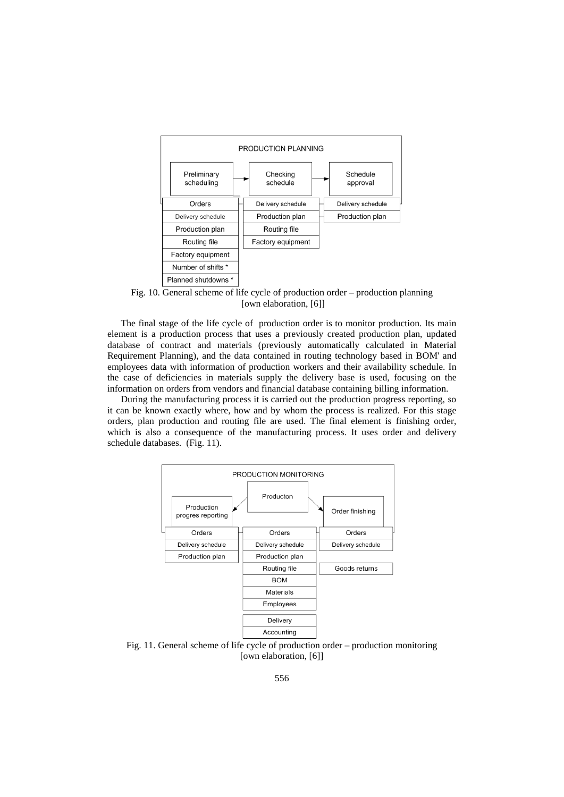

Fig. 10. General scheme of life cycle of production order – production planning [own elaboration, [6]]

The final stage of the life cycle of production order is to monitor production. Its main element is a production process that uses a previously created production plan, updated database of contract and materials (previously automatically calculated in Material Requirement Planning), and the data contained in routing technology based in BOM' and employees data with information of production workers and their availability schedule. In the case of deficiencies in materials supply the delivery base is used, focusing on the information on orders from vendors and financial database containing billing information.

During the manufacturing process it is carried out the production progress reporting, so it can be known exactly where, how and by whom the process is realized. For this stage orders, plan production and routing file are used. The final element is finishing order, which is also a consequence of the manufacturing process. It uses order and delivery schedule databases. (Fig. 11).



Fig. 11. General scheme of life cycle of production order – production monitoring [own elaboration, [6]]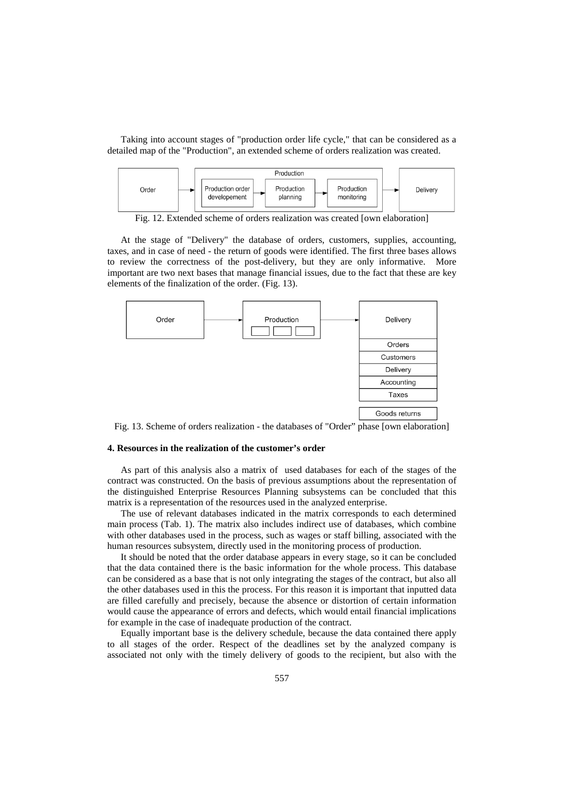Taking into account stages of "production order life cycle," that can be considered as a detailed map of the "Production", an extended scheme of orders realization was created.



Fig. 12. Extended scheme of orders realization was created [own elaboration]

At the stage of "Delivery" the database of orders, customers, supplies, accounting, taxes, and in case of need - the return of goods were identified. The first three bases allows to review the correctness of the post-delivery, but they are only informative. More important are two next bases that manage financial issues, due to the fact that these are key elements of the finalization of the order. (Fig. 13).



Fig. 13. Scheme of orders realization - the databases of "Order" phase [own elaboration]

#### **4. Resources in the realization of the customer's order**

As part of this analysis also a matrix of used databases for each of the stages of the contract was constructed. On the basis of previous assumptions about the representation of the distinguished Enterprise Resources Planning subsystems can be concluded that this matrix is a representation of the resources used in the analyzed enterprise.

The use of relevant databases indicated in the matrix corresponds to each determined main process (Tab. 1). The matrix also includes indirect use of databases, which combine with other databases used in the process, such as wages or staff billing, associated with the human resources subsystem, directly used in the monitoring process of production.

It should be noted that the order database appears in every stage, so it can be concluded that the data contained there is the basic information for the whole process. This database can be considered as a base that is not only integrating the stages of the contract, but also all the other databases used in this the process. For this reason it is important that inputted data are filled carefully and precisely, because the absence or distortion of certain information would cause the appearance of errors and defects, which would entail financial implications for example in the case of inadequate production of the contract.

Equally important base is the delivery schedule, because the data contained there apply to all stages of the order. Respect of the deadlines set by the analyzed company is associated not only with the timely delivery of goods to the recipient, but also with the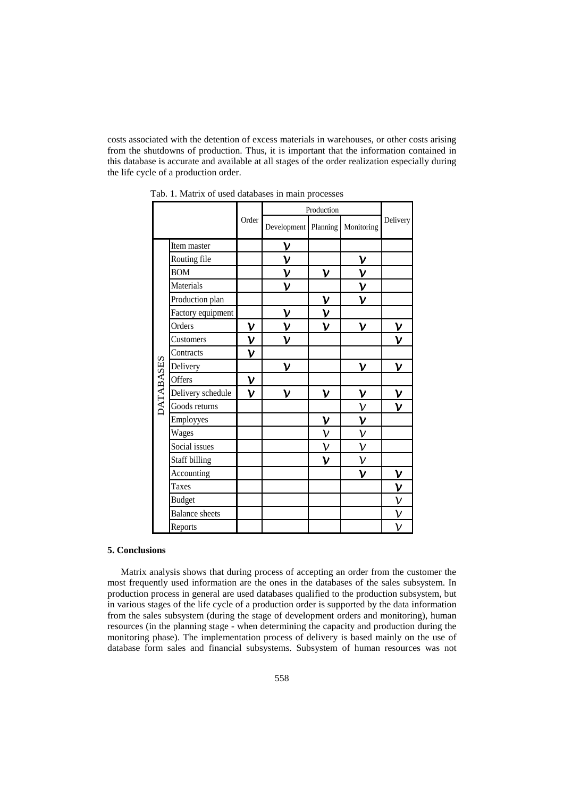costs associated with the detention of excess materials in warehouses, or other costs arising from the shutdowns of production. Thus, it is important that the information contained in this database is accurate and available at all stages of the order realization especially during the life cycle of a production order.

|                  |                       |                | Production     |              |                |                |
|------------------|-----------------------|----------------|----------------|--------------|----------------|----------------|
|                  |                       | Order          | Development    | Planning     | Monitoring     | Delivery       |
| <b>DATABASES</b> | Item master           |                | ν              |              |                |                |
|                  | Routing file          |                | $\mathsf{V}$   |              | ν              |                |
|                  | <b>BOM</b>            |                | ν              | ν            | ν              |                |
|                  | Materials             |                | ν              |              | $\mathsf{\nu}$ |                |
|                  | Production plan       |                |                | ν            | ν              |                |
|                  | Factory equipment     |                | $\mathsf{\nu}$ | ν            |                |                |
|                  | Orders                | $\mathsf{\nu}$ | $\mathsf{V}$   | ν            | ν              | $\mathsf{\nu}$ |
|                  | Customers             | $\mathsf{\nu}$ | ν              |              |                | ν              |
|                  | Contracts             | $\mathsf{\nu}$ |                |              |                |                |
|                  | Delivery              |                | ν              |              | $\mathsf{V}$   | $\mathsf{V}$   |
|                  | Offers                | $\mathsf{\nu}$ |                |              |                |                |
|                  | Delivery schedule     | $\mathsf{\nu}$ | ν              | ν            | ν              | $\mathsf{\nu}$ |
|                  | Goods returns         |                |                |              | $\mathsf{\nu}$ | ν              |
|                  | Employyes             |                |                | ν            | ν              |                |
|                  | Wages                 |                |                | ν            | ν              |                |
|                  | Social issues         |                |                | ν            | ν              |                |
|                  | Staff billing         |                |                | $\mathsf{V}$ | ν              |                |
|                  | Accounting            |                |                |              | ν              | $\mathsf{\nu}$ |
|                  | Taxes                 |                |                |              |                | $\mathsf{\nu}$ |
|                  | <b>Budget</b>         |                |                |              |                | $\mathsf{\nu}$ |
|                  | <b>Balance</b> sheets |                |                |              |                | ν              |
|                  | Reports               |                |                |              |                | $\mathsf{\nu}$ |

Tab. 1. Matrix of used databases in main processes

# **5. Conclusions**

Matrix analysis shows that during process of accepting an order from the customer the most frequently used information are the ones in the databases of the sales subsystem. In production process in general are used databases qualified to the production subsystem, but in various stages of the life cycle of a production order is supported by the data information from the sales subsystem (during the stage of development orders and monitoring), human resources (in the planning stage - when determining the capacity and production during the monitoring phase). The implementation process of delivery is based mainly on the use of database form sales and financial subsystems. Subsystem of human resources was not